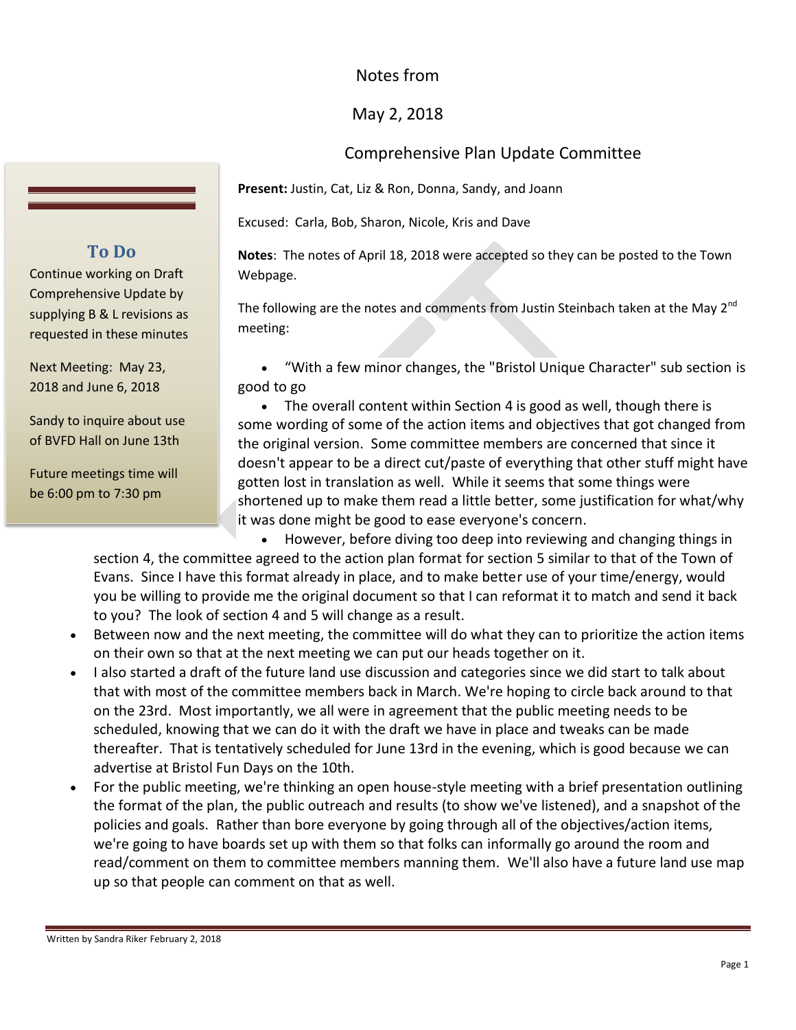## Notes from

## May 2, 2018

## Comprehensive Plan Update Committee

**Present:** Justin, Cat, Liz & Ron, Donna, Sandy, and Joann

Excused: Carla, Bob, Sharon, Nicole, Kris and Dave

**Notes**: The notes of April 18, 2018 were accepted so they can be posted to the Town Webpage.

The following are the notes and comments from Justin Steinbach taken at the May 2<sup>nd</sup> meeting:

 "With a few minor changes, the "Bristol Unique Character" sub section is good to go

• The overall content within Section 4 is good as well, though there is some wording of some of the action items and objectives that got changed from the original version. Some committee members are concerned that since it doesn't appear to be a direct cut/paste of everything that other stuff might have gotten lost in translation as well. While it seems that some things were shortened up to make them read a little better, some justification for what/why it was done might be good to ease everyone's concern.

 However, before diving too deep into reviewing and changing things in section 4, the committee agreed to the action plan format for section 5 similar to that of the Town of Evans. Since I have this format already in place, and to make better use of your time/energy, would you be willing to provide me the original document so that I can reformat it to match and send it back to you? The look of section 4 and 5 will change as a result.

- Between now and the next meeting, the committee will do what they can to prioritize the action items on their own so that at the next meeting we can put our heads together on it.
- I also started a draft of the future land use discussion and categories since we did start to talk about that with most of the committee members back in March. We're hoping to circle back around to that on the 23rd. Most importantly, we all were in agreement that the public meeting needs to be scheduled, knowing that we can do it with the draft we have in place and tweaks can be made thereafter. That is tentatively scheduled for June 13rd in the evening, which is good because we can advertise at Bristol Fun Days on the 10th.
- For the public meeting, we're thinking an open house-style meeting with a brief presentation outlining the format of the plan, the public outreach and results (to show we've listened), and a snapshot of the policies and goals. Rather than bore everyone by going through all of the objectives/action items, we're going to have boards set up with them so that folks can informally go around the room and read/comment on them to committee members manning them. We'll also have a future land use map up so that people can comment on that as well.

## **To Do**

Continue working on Draft Comprehensive Update by supplying B & L revisions as requested in these minutes

Next Meeting: May 23, 2018 and June 6, 2018

Sandy to inquire about use of BVFD Hall on June 13th

Future meetings time will be 6:00 pm to 7:30 pm